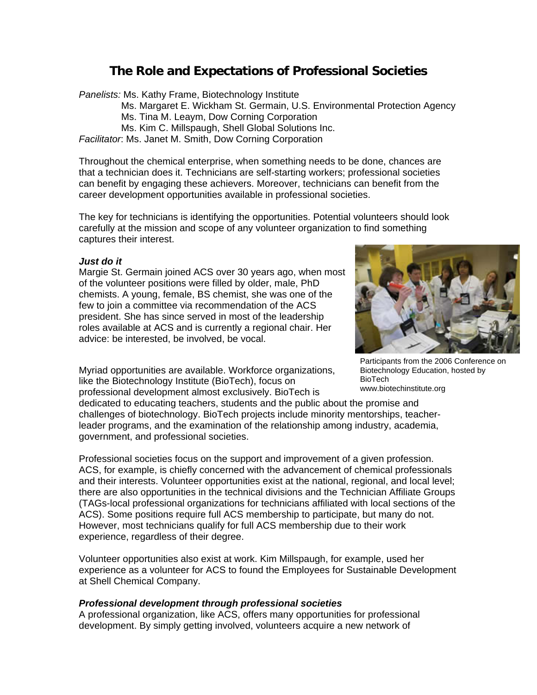# **The Role and Expectations of Professional Societies**

*Panelists:* Ms. Kathy Frame, Biotechnology Institute

Ms. Margaret E. Wickham St. Germain, U.S. Environmental Protection Agency

Ms. Tina M. Leaym, Dow Corning Corporation

Ms. Kim C. Millspaugh, Shell Global Solutions Inc.

*Facilitator*: Ms. Janet M. Smith, Dow Corning Corporation

Throughout the chemical enterprise, when something needs to be done, chances are that a technician does it. Technicians are self-starting workers; professional societies can benefit by engaging these achievers. Moreover, technicians can benefit from the career development opportunities available in professional societies.

The key for technicians is identifying the opportunities. Potential volunteers should look carefully at the mission and scope of any volunteer organization to find something captures their interest.

#### *Just do it*

Margie St. Germain joined ACS over 30 years ago, when most of the volunteer positions were filled by older, male, PhD chemists. A young, female, BS chemist, she was one of the few to join a committee via recommendation of the ACS president. She has since served in most of the leadership roles available at ACS and is currently a regional chair. Her advice: be interested, be involved, be vocal.

Myriad opportunities are available. Workforce organizations, like the Biotechnology Institute (BioTech), focus on professional development almost exclusively. BioTech is

dedicated to educating teachers, students and the public about the promise and challenges of biotechnology. BioTech projects include minority mentorships, teacherleader programs, and the examination of the relationship among industry, academia, government, and professional societies.

Professional societies focus on the support and improvement of a given profession. ACS, for example, is chiefly concerned with the advancement of chemical professionals and their interests. Volunteer opportunities exist at the national, regional, and local level; there are also opportunities in the technical divisions and the Technician Affiliate Groups (TAGs-local professional organizations for technicians affiliated with local sections of the ACS). Some positions require full ACS membership to participate, but many do not. However, most technicians qualify for full ACS membership due to their work experience, regardless of their degree.

Volunteer opportunities also exist at work. Kim Millspaugh, for example, used her experience as a volunteer for ACS to found the Employees for Sustainable Development at Shell Chemical Company.

### *Professional development through professional societies*

A professional organization, like ACS, offers many opportunities for professional development. By simply getting involved, volunteers acquire a new network of



Participants from the 2006 Conference on Biotechnology Education, hosted by BioTech www.biotechinstitute.org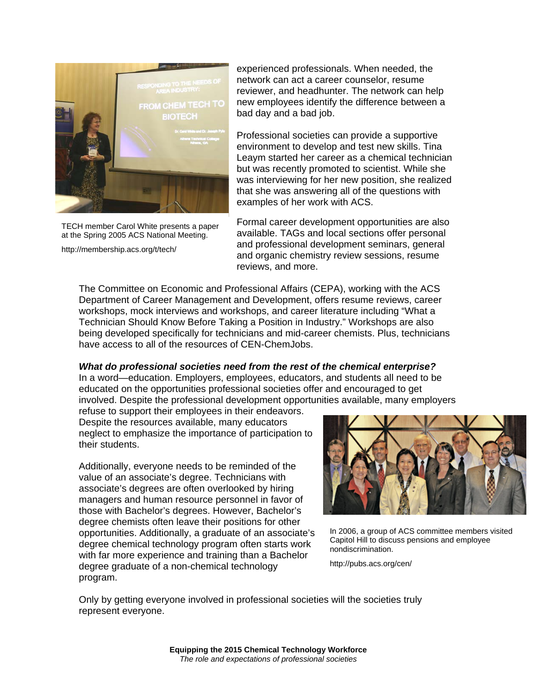

TECH member Carol White presents a paper at the Spring 2005 ACS National Meeting.

http://membership.acs.org/t/tech/

experienced professionals. When needed, the network can act a career counselor, resume reviewer, and headhunter. The network can help new employees identify the difference between a bad day and a bad job.

Professional societies can provide a supportive environment to develop and test new skills. Tina Leaym started her career as a chemical technician but was recently promoted to scientist. While she was interviewing for her new position, she realized that she was answering all of the questions with examples of her work with ACS.

Formal career development opportunities are also available. TAGs and local sections offer personal and professional development seminars, general and organic chemistry review sessions, resume reviews, and more.

The Committee on Economic and Professional Affairs (CEPA), working with the ACS Department of Career Management and Development, offers resume reviews, career workshops, mock interviews and workshops, and career literature including "What a Technician Should Know Before Taking a Position in Industry." Workshops are also being developed specifically for technicians and mid-career chemists. Plus, technicians have access to all of the resources of CEN-ChemJobs.

### *What do professional societies need from the rest of the chemical enterprise?*

In a word—education. Employers, employees, educators, and students all need to be educated on the opportunities professional societies offer and encouraged to get involved. Despite the professional development opportunities available, many employers

refuse to support their employees in their endeavors. Despite the resources available, many educators neglect to emphasize the importance of participation to their students.

Additionally, everyone needs to be reminded of the value of an associate's degree. Technicians with associate's degrees are often overlooked by hiring managers and human resource personnel in favor of those with Bachelor's degrees. However, Bachelor's degree chemists often leave their positions for other opportunities. Additionally, a graduate of an associate's degree chemical technology program often starts work with far more experience and training than a Bachelor degree graduate of a non-chemical technology program.



In 2006, a group of ACS committee members visited Capitol Hill to discuss pensions and employee nondiscrimination.

http://pubs.acs.org/cen/

Only by getting everyone involved in professional societies will the societies truly represent everyone.